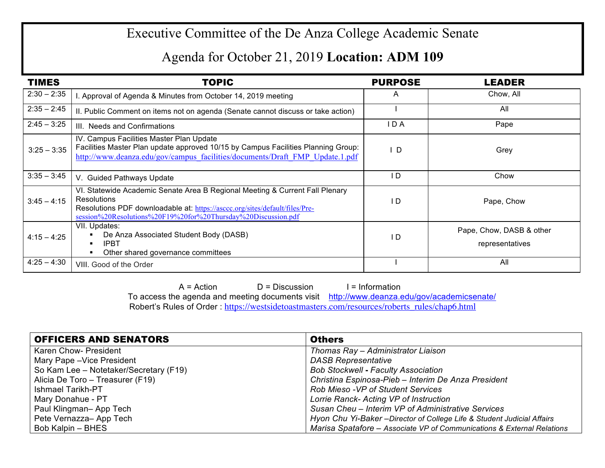## Executive Committee of the De Anza College Academic Senate

## Agenda for October 21, 2019 **Location: ADM 109**

| <b>TIMES</b>  | <b>TOPIC</b>                                                                                                                                                                                                                                       | <b>PURPOSE</b> | <b>LEADER</b>                               |
|---------------|----------------------------------------------------------------------------------------------------------------------------------------------------------------------------------------------------------------------------------------------------|----------------|---------------------------------------------|
| $2:30 - 2:35$ | I. Approval of Agenda & Minutes from October 14, 2019 meeting                                                                                                                                                                                      | A              | Chow, All                                   |
| $2:35 - 2:45$ | II. Public Comment on items not on agenda (Senate cannot discuss or take action)                                                                                                                                                                   |                | All                                         |
| $2:45 - 3:25$ | III. Needs and Confirmations                                                                                                                                                                                                                       | I D A          | Pape                                        |
| $3:25 - 3:35$ | IV. Campus Facilities Master Plan Update<br>Facilities Master Plan update approved 10/15 by Campus Facilities Planning Group:<br>http://www.deanza.edu/gov/campus_facilities/documents/Draft_FMP_Update.1.pdf                                      | D              | Grey                                        |
| $3:35 - 3:45$ | V. Guided Pathways Update                                                                                                                                                                                                                          | ID.            | Chow                                        |
| $3:45 - 4:15$ | VI. Statewide Academic Senate Area B Regional Meeting & Current Fall Plenary<br><b>Resolutions</b><br>Resolutions PDF downloadable at: https://asccc.org/sites/default/files/Pre-<br>session%20Resolutions%20F19%20for%20Thursday%20Discussion.pdf | I D            | Pape, Chow                                  |
| $4:15 - 4:25$ | VII. Updates:<br>De Anza Associated Student Body (DASB)<br><b>IPBT</b><br>Other shared governance committees                                                                                                                                       | I D            | Pape, Chow, DASB & other<br>representatives |
| $4:25 - 4:30$ | VIII. Good of the Order                                                                                                                                                                                                                            |                | All                                         |

 $A = Action$   $D = Discussion$  I = Information To access the agenda and meeting documents visit http://www.deanza.edu/gov/academicsenate/ Robert's Rules of Order : https://westsidetoastmasters.com/resources/roberts\_rules/chap6.html

| <b>OFFICERS AND SENATORS</b>           | <b>Others</b>                                                          |
|----------------------------------------|------------------------------------------------------------------------|
| Karen Chow- President                  | Thomas Ray - Administrator Liaison                                     |
| Mary Pape - Vice President             | <b>DASB Representative</b>                                             |
| So Kam Lee - Notetaker/Secretary (F19) | <b>Bob Stockwell - Faculty Association</b>                             |
| Alicia De Toro - Treasurer (F19)       | Christina Espinosa-Pieb - Interim De Anza President                    |
| <b>Ishmael Tarikh-PT</b>               | <b>Rob Mieso -VP of Student Services</b>                               |
| Mary Donahue - PT                      | Lorrie Ranck- Acting VP of Instruction                                 |
| Paul Klingman-App Tech                 | Susan Cheu - Interim VP of Administrative Services                     |
| Pete Vernazza-App Tech                 | Hyon Chu Yi-Baker-Director of College Life & Student Judicial Affairs  |
| Bob Kalpin - BHES                      | Marisa Spatafore - Associate VP of Communications & External Relations |